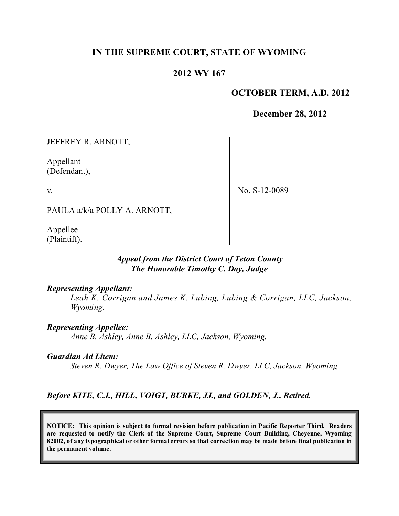# **IN THE SUPREME COURT, STATE OF WYOMING**

## **2012 WY 167**

#### **OCTOBER TERM, A.D. 2012**

**December 28, 2012**

JEFFREY R. ARNOTT,

Appellant (Defendant),

v.

No. S-12-0089

PAULA a/k/a POLLY A. ARNOTT,

Appellee (Plaintiff).

#### *Appeal from the District Court of Teton County The Honorable Timothy C. Day, Judge*

#### *Representing Appellant:*

*Leah K. Corrigan and James K. Lubing, Lubing & Corrigan, LLC, Jackson, Wyoming.*

*Representing Appellee: Anne B. Ashley, Anne B. Ashley, LLC, Jackson, Wyoming.*

#### *Guardian Ad Litem:*

*Steven R. Dwyer, The Law Office of Steven R. Dwyer, LLC, Jackson, Wyoming.*

## *Before KITE, C.J., HILL, VOIGT, BURKE, JJ., and GOLDEN, J., Retired.*

**NOTICE: This opinion is subject to formal revision before publication in Pacific Reporter Third. Readers are requested to notify the Clerk of the Supreme Court, Supreme Court Building, Cheyenne, Wyoming** 82002, of any typographical or other formal errors so that correction may be made before final publication in **the permanent volume.**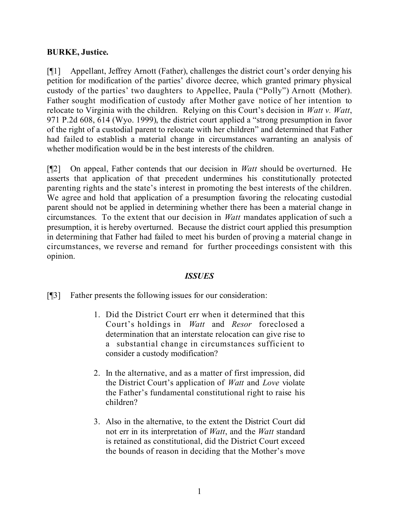# **BURKE, Justice.**

[¶1] Appellant, Jeffrey Arnott (Father), challenges the district court's order denying his petition for modification of the parties' divorce decree, which granted primary physical custody of the parties' two daughters to Appellee, Paula ("Polly") Arnott (Mother). Father sought modification of custody after Mother gave notice of her intention to relocate to Virginia with the children. Relying on this Court's decision in *Watt v. Watt*, 971 P.2d 608, 614 (Wyo. 1999), the district court applied a "strong presumption in favor of the right of a custodial parent to relocate with her children" and determined that Father had failed to establish a material change in circumstances warranting an analysis of whether modification would be in the best interests of the children.

[¶2] On appeal, Father contends that our decision in *Watt* should be overturned. He asserts that application of that precedent undermines his constitutionally protected parenting rights and the state's interest in promoting the best interests of the children. We agree and hold that application of a presumption favoring the relocating custodial parent should not be applied in determining whether there has been a material change in circumstances. To the extent that our decision in *Watt* mandates application of such a presumption, it is hereby overturned. Because the district court applied this presumption in determining that Father had failed to meet his burden of proving a material change in circumstances, we reverse and remand for further proceedings consistent with this opinion.

## *ISSUES*

- [¶3] Father presents the following issues for our consideration:
	- 1. Did the District Court err when it determined that this Court's holdings in *Watt* and *Resor* foreclosed a determination that an interstate relocation can give rise to a substantial change in circumstances sufficient to consider a custody modification?
	- 2. In the alternative, and as a matter of first impression, did the District Court's application of *Watt* and *Love* violate the Father's fundamental constitutional right to raise his children?
	- 3. Also in the alternative, to the extent the District Court did not err in its interpretation of *Watt*, and the *Watt* standard is retained as constitutional, did the District Court exceed the bounds of reason in deciding that the Mother's move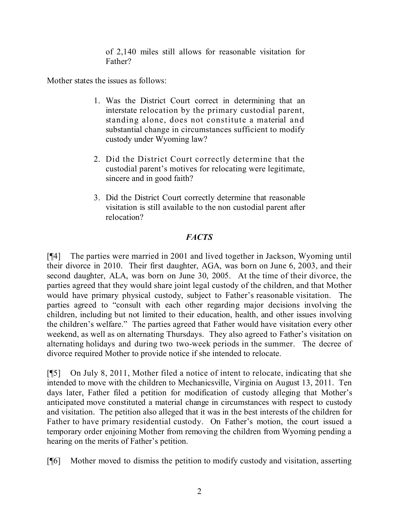of 2,140 miles still allows for reasonable visitation for Father?

Mother states the issues as follows:

- 1. Was the District Court correct in determining that an interstate relocation by the primary custodial parent, standing alone, does not constitute a material and substantial change in circumstances sufficient to modify custody under Wyoming law?
- 2. Did the District Court correctly determine that the custodial parent's motives for relocating were legitimate, sincere and in good faith?
- 3. Did the District Court correctly determine that reasonable visitation is still available to the non custodial parent after relocation?

# *FACTS*

[¶4] The parties were married in 2001 and lived together in Jackson, Wyoming until their divorce in 2010. Their first daughter, AGA, was born on June 6, 2003, and their second daughter, ALA, was born on June 30, 2005. At the time of their divorce, the parties agreed that they would share joint legal custody of the children, and that Mother would have primary physical custody, subject to Father's reasonable visitation. The parties agreed to "consult with each other regarding major decisions involving the children, including but not limited to their education, health, and other issues involving the children's welfare." The parties agreed that Father would have visitation every other weekend, as well as on alternating Thursdays. They also agreed to Father's visitation on alternating holidays and during two two-week periods in the summer. The decree of divorce required Mother to provide notice if she intended to relocate.

[¶5] On July 8, 2011, Mother filed a notice of intent to relocate, indicating that she intended to move with the children to Mechanicsville, Virginia on August 13, 2011. Ten days later, Father filed a petition for modification of custody alleging that Mother's anticipated move constituted a material change in circumstances with respect to custody and visitation. The petition also alleged that it was in the best interests of the children for Father to have primary residential custody. On Father's motion, the court issued a temporary order enjoining Mother from removing the children from Wyoming pending a hearing on the merits of Father's petition.

[¶6] Mother moved to dismiss the petition to modify custody and visitation, asserting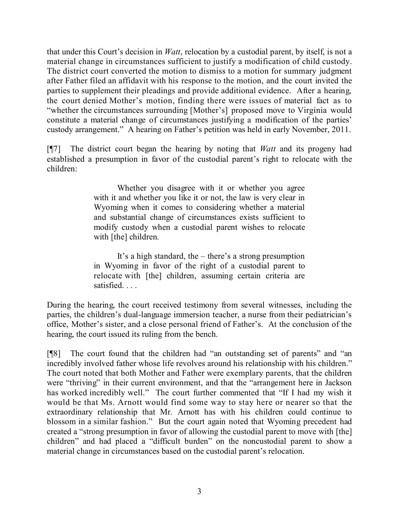that under this Court's decision in *Watt*, relocation by a custodial parent, by itself, is not a material change in circumstances sufficient to justify a modification of child custody. The district court converted the motion to dismiss to a motion for summary judgment after Father filed an affidavit with his response to the motion, and the court invited the parties to supplement their pleadings and provide additional evidence. After a hearing, the court denied Mother's motion, finding there were issues of material fact as to "whether the circumstances surrounding [Mother's] proposed move to Virginia would constitute a material change of circumstances justifying a modification of the parties' custody arrangement." A hearing on Father's petition was held in early November, 2011.

[¶7] The district court began the hearing by noting that *Watt* and its progeny had established a presumption in favor of the custodial parent's right to relocate with the children:

> Whether you disagree with it or whether you agree with it and whether you like it or not, the law is very clear in Wyoming when it comes to considering whether a material and substantial change of circumstances exists sufficient to modify custody when a custodial parent wishes to relocate with [the] children.

> It's a high standard, the – there's a strong presumption in Wyoming in favor of the right of a custodial parent to relocate with [the] children, assuming certain criteria are satisfied. . . .

During the hearing, the court received testimony from several witnesses, including the parties, the children's dual-language immersion teacher, a nurse from their pediatrician's office, Mother's sister, and a close personal friend of Father's. At the conclusion of the hearing, the court issued its ruling from the bench.

[¶8] The court found that the children had "an outstanding set of parents" and "an incredibly involved father whose life revolves around his relationship with his children." The court noted that both Mother and Father were exemplary parents, that the children were "thriving" in their current environment, and that the "arrangement here in Jackson has worked incredibly well." The court further commented that "If I had my wish it would be that Ms. Arnott would find some way to stay here or nearer so that the extraordinary relationship that Mr. Arnott has with his children could continue to blossom in a similar fashion." But the court again noted that Wyoming precedent had created a "strong presumption in favor of allowing the custodial parent to move with [the] children" and had placed a "difficult burden" on the noncustodial parent to show a material change in circumstances based on the custodial parent's relocation.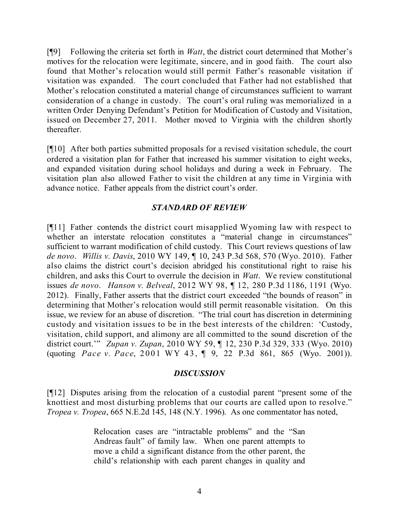[¶9] Following the criteria set forth in *Watt*, the district court determined that Mother's motives for the relocation were legitimate, sincere, and in good faith. The court also found that Mother's relocation would still permit Father's reasonable visitation if visitation was expanded. The court concluded that Father had not established that Mother's relocation constituted a material change of circumstances sufficient to warrant consideration of a change in custody. The court's oral ruling was memorialized in a written Order Denying Defendant's Petition for Modification of Custody and Visitation, issued on December 27, 2011. Mother moved to Virginia with the children shortly thereafter.

[¶10] After both parties submitted proposals for a revised visitation schedule, the court ordered a visitation plan for Father that increased his summer visitation to eight weeks, and expanded visitation during school holidays and during a week in February. The visitation plan also allowed Father to visit the children at any time in Virginia with advance notice. Father appeals from the district court's order.

## *STANDARD OF REVIEW*

[¶11] Father contends the district court misapplied Wyoming law with respect to whether an interstate relocation constitutes a "material change in circumstances" sufficient to warrant modification of child custody. This Court reviews questions of law *de novo*. *Willis v. Davis*, 2010 WY 149, ¶ 10, 243 P.3d 568, 570 (Wyo. 2010). Father also claims the district court's decision abridged his constitutional right to raise his children, and asks this Court to overrule the decision in *Watt*. We review constitutional issues *de novo*. *Hanson v. Belveal*, 2012 WY 98, ¶ 12, 280 P.3d 1186, 1191 (Wyo. 2012). Finally, Father asserts that the district court exceeded "the bounds of reason" in determining that Mother's relocation would still permit reasonable visitation. On this issue, we review for an abuse of discretion. "The trial court has discretion in determining custody and visitation issues to be in the best interests of the children: 'Custody, visitation, child support, and alimony are all committed to the sound discretion of the district court.'" *Zupan v. Zupan*, 2010 WY 59, ¶ 12, 230 P.3d 329, 333 (Wyo. 2010) (quoting *Pace v. Pace*, 2001 WY 43, ¶ 9, 22 P.3d 861, 865 (Wyo. 2001)).

## *DISCUSSION*

[¶12] Disputes arising from the relocation of a custodial parent "present some of the knottiest and most disturbing problems that our courts are called upon to resolve." *Tropea v. Tropea*, 665 N.E.2d 145, 148 (N.Y. 1996). As one commentator has noted,

> Relocation cases are "intractable problems" and the "San Andreas fault" of family law. When one parent attempts to move a child a significant distance from the other parent, the child's relationship with each parent changes in quality and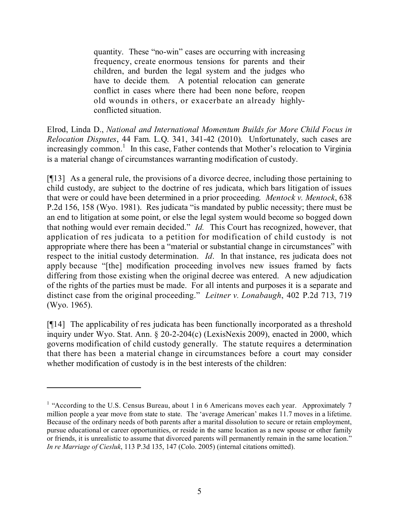quantity. These "no-win" cases are occurring with increasing frequency, create enormous tensions for parents and their children, and burden the legal system and the judges who have to decide them. A potential relocation can generate conflict in cases where there had been none before, reopen old wounds in others, or exacerbate an already highlyconflicted situation.

Elrod, Linda D., *National and International Momentum Builds for More Child Focus in Relocation Disputes*, 44 Fam. L.Q. 341, 341-42 (2010). Unfortunately, such cases are increasingly common.<sup>1</sup> In this case, Father contends that Mother's relocation to Virginia is a material change of circumstances warranting modification of custody.

[¶13] As a general rule, the provisions of a divorce decree, including those pertaining to child custody, are subject to the doctrine of res judicata, which bars litigation of issues that were or could have been determined in a prior proceeding. *Mentock v. Mentock*, 638 P.2d 156, 158 (Wyo. 1981). Res judicata "is mandated by public necessity; there must be an end to litigation at some point, or else the legal system would become so bogged down that nothing would ever remain decided." *Id.* This Court has recognized, however, that application of res judicata to a petition for modification of child custody is not appropriate where there has been a "material or substantial change in circumstances" with respect to the initial custody determination. *Id*. In that instance, res judicata does not apply because "[the] modification proceeding involves new issues framed by facts differing from those existing when the original decree was entered. A new adjudication of the rights of the parties must be made. For all intents and purposes it is a separate and distinct case from the original proceeding." *Leitner v. Lonabaugh*, 402 P.2d 713, 719 (Wyo. 1965).

[¶14] The applicability of res judicata has been functionally incorporated as a threshold inquiry under Wyo. Stat. Ann. § 20-2-204(c) (LexisNexis 2009), enacted in 2000, which governs modification of child custody generally. The statute requires a determination that there has been a material change in circumstances before a court may consider whether modification of custody is in the best interests of the children:

<sup>&</sup>lt;sup>1</sup> "According to the U.S. Census Bureau, about 1 in 6 Americans moves each year. Approximately 7 million people a year move from state to state. The 'average American' makes 11.7 moves in a lifetime. Because of the ordinary needs of both parents after a marital dissolution to secure or retain employment, pursue educational or career opportunities, or reside in the same location as a new spouse or other family or friends, it is unrealistic to assume that divorced parents will permanently remain in the same location." *In re Marriage of Ciesluk*, 113 P.3d 135, 147 (Colo. 2005) (internal citations omitted).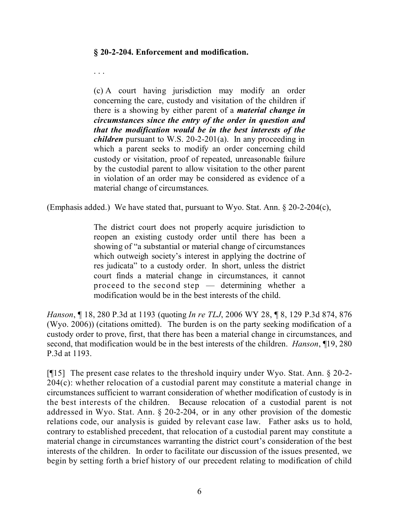#### **§ 20-2-204. Enforcement and modification.**

. . .

(c) A court having jurisdiction may modify an order concerning the care, custody and visitation of the children if there is a showing by either parent of a *material change in circumstances since the entry of the order in question and that the modification would be in the best interests of the children* pursuant to W.S. 20-2-201(a). In any proceeding in which a parent seeks to modify an order concerning child custody or visitation, proof of repeated, unreasonable failure by the custodial parent to allow visitation to the other parent in violation of an order may be considered as evidence of a material change of circumstances.

(Emphasis added.) We have stated that, pursuant to Wyo. Stat. Ann. § 20-2-204(c),

The district court does not properly acquire jurisdiction to reopen an existing custody order until there has been a showing of "a substantial or material change of circumstances which outweigh society's interest in applying the doctrine of res judicata" to a custody order. In short, unless the district court finds a material change in circumstances, it cannot proceed to the second step — determining whether a modification would be in the best interests of the child.

*Hanson*, ¶ 18, 280 P.3d at 1193 (quoting *In re TLJ*, 2006 WY 28, ¶ 8, 129 P.3d 874, 876 (Wyo. 2006)) (citations omitted). The burden is on the party seeking modification of a custody order to prove, first, that there has been a material change in circumstances, and second, that modification would be in the best interests of the children. *Hanson*, ¶19, 280 P.3d at 1193.

[¶15] The present case relates to the threshold inquiry under Wyo. Stat. Ann. § 20-2- 204(c): whether relocation of a custodial parent may constitute a material change in circumstances sufficient to warrant consideration of whether modification of custody is in the best interests of the children. Because relocation of a custodial parent is not addressed in Wyo. Stat. Ann. § 20-2-204, or in any other provision of the domestic relations code, our analysis is guided by relevant case law. Father asks us to hold, contrary to established precedent, that relocation of a custodial parent may constitute a material change in circumstances warranting the district court's consideration of the best interests of the children. In order to facilitate our discussion of the issues presented, we begin by setting forth a brief history of our precedent relating to modification of child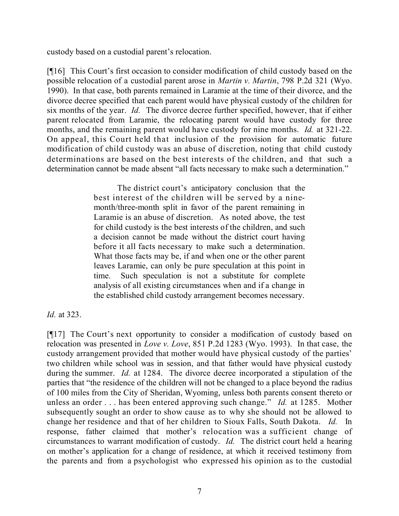custody based on a custodial parent's relocation.

[¶16] This Court's first occasion to consider modification of child custody based on the possible relocation of a custodial parent arose in *Martin v. Martin*, 798 P.2d 321 (Wyo. 1990). In that case, both parents remained in Laramie at the time of their divorce, and the divorce decree specified that each parent would have physical custody of the children for six months of the year. *Id.* The divorce decree further specified, however, that if either parent relocated from Laramie, the relocating parent would have custody for three months, and the remaining parent would have custody for nine months. *Id.* at 321-22. On appeal, this Court held that inclusion of the provision for automatic future modification of child custody was an abuse of discretion, noting that child custody determinations are based on the best interests of the children, and that such a determination cannot be made absent "all facts necessary to make such a determination."

> The district court's anticipatory conclusion that the best interest of the children will be served by a ninemonth/three-month split in favor of the parent remaining in Laramie is an abuse of discretion. As noted above, the test for child custody is the best interests of the children, and such a decision cannot be made without the district court having before it all facts necessary to make such a determination. What those facts may be, if and when one or the other parent leaves Laramie, can only be pure speculation at this point in time. Such speculation is not a substitute for complete analysis of all existing circumstances when and if a change in the established child custody arrangement becomes necessary.

*Id.* at 323.

[¶17] The Court's next opportunity to consider a modification of custody based on relocation was presented in *Love v. Love*, 851 P.2d 1283 (Wyo. 1993). In that case, the custody arrangement provided that mother would have physical custody of the parties' two children while school was in session, and that father would have physical custody during the summer. *Id.* at 1284. The divorce decree incorporated a stipulation of the parties that "the residence of the children will not be changed to a place beyond the radius of 100 miles from the City of Sheridan, Wyoming, unless both parents consent thereto or unless an order . . . has been entered approving such change." *Id.* at 1285. Mother subsequently sought an order to show cause as to why she should not be allowed to change her residence and that of her children to Sioux Falls, South Dakota. *Id.* response, father claimed that mother's relocation was a sufficient change of circumstances to warrant modification of custody. *Id.* The district court held a hearing on mother's application for a change of residence, at which it received testimony from the parents and from a psychologist who expressed his opinion as to the custodial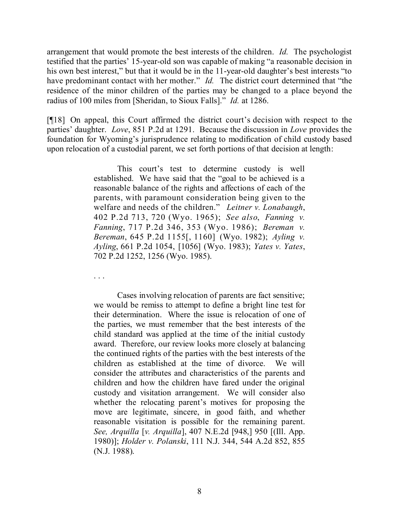arrangement that would promote the best interests of the children. *Id.* The psychologist testified that the parties' 15-year-old son was capable of making "a reasonable decision in his own best interest," but that it would be in the 11-year-old daughter's best interests "to have predominant contact with her mother." *Id.* The district court determined that "the residence of the minor children of the parties may be changed to a place beyond the radius of 100 miles from [Sheridan, to Sioux Falls]." *Id.* at 1286.

[¶18] On appeal, this Court affirmed the district court's decision with respect to the parties' daughter. *Love*, 851 P.2d at 1291. Because the discussion in *Love* provides the foundation for Wyoming's jurisprudence relating to modification of child custody based upon relocation of a custodial parent, we set forth portions of that decision at length:

> This court's test to determine custody is well established. We have said that the "goal to be achieved is a reasonable balance of the rights and affections of each of the parents, with paramount consideration being given to the welfare and needs of the children." *Leitner v. Lonabaugh*, 402 P.2d 713, 720 (Wyo. 1965); *See also*, *Fanning v. Fanning*, 717 P.2d 346, 353 (Wyo. 1986); *Bereman v. Bereman*, 645 P.2d 1155[, 1160] (Wyo. 1982); *Ayling v. Ayling*, 661 P.2d 1054, [1056] (Wyo. 1983); *Yates v. Yates*, 702 P.2d 1252, 1256 (Wyo. 1985).

. . .

Cases involving relocation of parents are fact sensitive; we would be remiss to attempt to define a bright line test for their determination. Where the issue is relocation of one of the parties, we must remember that the best interests of the child standard was applied at the time of the initial custody award. Therefore, our review looks more closely at balancing the continued rights of the parties with the best interests of the children as established at the time of divorce. We will consider the attributes and characteristics of the parents and children and how the children have fared under the original custody and visitation arrangement. We will consider also whether the relocating parent's motives for proposing the move are legitimate, sincere, in good faith, and whether reasonable visitation is possible for the remaining parent. *See, Arquilla* [*v. Arquilla*], 407 N.E.2d [948,] 950 [(Ill. App. 1980)]; *Holder v. Polanski*, 111 N.J. 344, 544 A.2d 852, 855 (N.J. 1988).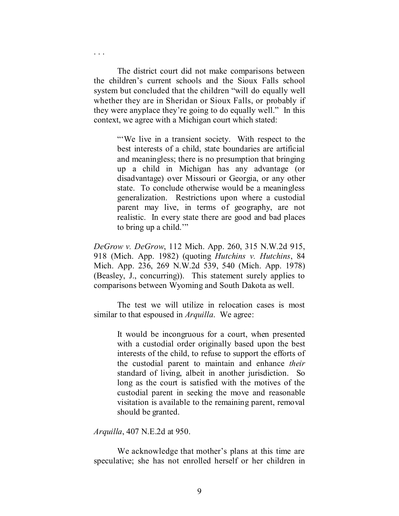The district court did not make comparisons between the children's current schools and the Sioux Falls school system but concluded that the children "will do equally well whether they are in Sheridan or Sioux Falls, or probably if they were anyplace they're going to do equally well." In this context, we agree with a Michigan court which stated:

. . .

"'We live in a transient society. With respect to the best interests of a child, state boundaries are artificial and meaningless; there is no presumption that bringing up a child in Michigan has any advantage (or disadvantage) over Missouri or Georgia, or any other state. To conclude otherwise would be a meaningless generalization. Restrictions upon where a custodial parent may live, in terms of geography, are not realistic. In every state there are good and bad places to bring up a child.'"

*DeGrow v. DeGrow*, 112 Mich. App. 260, 315 N.W.2d 915, 918 (Mich. App. 1982) (quoting *Hutchins v. Hutchins*, 84 Mich. App. 236, 269 N.W.2d 539, 540 (Mich. App. 1978) (Beasley, J., concurring)). This statement surely applies to comparisons between Wyoming and South Dakota as well.

The test we will utilize in relocation cases is most similar to that espoused in *Arquilla*. We agree:

> It would be incongruous for a court, when presented with a custodial order originally based upon the best interests of the child, to refuse to support the efforts of the custodial parent to maintain and enhance *their* standard of living, albeit in another jurisdiction. So long as the court is satisfied with the motives of the custodial parent in seeking the move and reasonable visitation is available to the remaining parent, removal should be granted.

*Arquilla*, 407 N.E.2d at 950.

We acknowledge that mother's plans at this time are speculative; she has not enrolled herself or her children in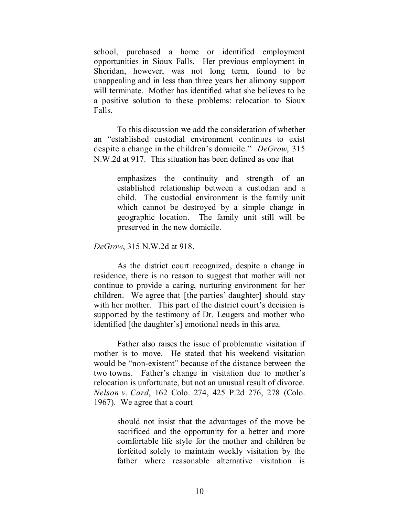school, purchased a home or identified employment opportunities in Sioux Falls. Her previous employment in Sheridan, however, was not long term, found to be unappealing and in less than three years her alimony support will terminate. Mother has identified what she believes to be a positive solution to these problems: relocation to Sioux Falls.

To this discussion we add the consideration of whether an "established custodial environment continues to exist despite a change in the children's domicile." *DeGrow*, 315 N.W.2d at 917. This situation has been defined as one that

> emphasizes the continuity and strength of an established relationship between a custodian and a child. The custodial environment is the family unit which cannot be destroyed by a simple change in geographic location. The family unit still will be preserved in the new domicile.

*DeGrow*, 315 N.W.2d at 918.

As the district court recognized, despite a change in residence, there is no reason to suggest that mother will not continue to provide a caring, nurturing environment for her children. We agree that [the parties' daughter] should stay with her mother. This part of the district court's decision is supported by the testimony of Dr. Leugers and mother who identified [the daughter's] emotional needs in this area.

Father also raises the issue of problematic visitation if mother is to move. He stated that his weekend visitation would be "non-existent" because of the distance between the two towns. Father's change in visitation due to mother's relocation is unfortunate, but not an unusual result of divorce. *Nelson v. Card*, 162 Colo. 274, 425 P.2d 276, 278 (Colo. 1967). We agree that a court

> should not insist that the advantages of the move be sacrificed and the opportunity for a better and more comfortable life style for the mother and children be forfeited solely to maintain weekly visitation by the father where reasonable alternative visitation is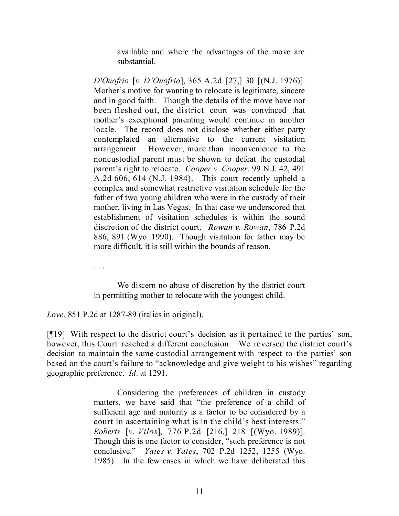available and where the advantages of the move are substantial.

*D'Onofrio* [*v. D'Onofrio*], 365 A.2d [27,] 30 [(N.J. 1976)]. Mother's motive for wanting to relocate is legitimate, sincere and in good faith. Though the details of the move have not been fleshed out, the district court was convinced that mother's exceptional parenting would continue in another locale. The record does not disclose whether either party contemplated an alternative to the current visitation arrangement. However, more than inconvenience to the noncustodial parent must be shown to defeat the custodial parent's right to relocate. *Cooper v. Cooper*, 99 N.J. 42, 491 A.2d 606, 614 (N.J. 1984). This court recently upheld a complex and somewhat restrictive visitation schedule for the father of two young children who were in the custody of their mother, living in Las Vegas. In that case we underscored that establishment of visitation schedules is within the sound discretion of the district court. *Rowan v. Rowan*, 786 P.2d 886, 891 (Wyo. 1990). Though visitation for father may be more difficult, it is still within the bounds of reason.

. . .

We discern no abuse of discretion by the district court in permitting mother to relocate with the youngest child.

*Love*, 851 P.2d at 1287-89 (italics in original).

[¶19] With respect to the district court's decision as it pertained to the parties' son, however, this Court reached a different conclusion. We reversed the district court's decision to maintain the same custodial arrangement with respect to the parties' son based on the court's failure to "acknowledge and give weight to his wishes" regarding geographic preference. *Id*. at 1291.

> Considering the preferences of children in custody matters, we have said that "the preference of a child of sufficient age and maturity is a factor to be considered by a court in ascertaining what is in the child's best interests." *Roberts* [*v. Vilos*], 776 P.2d [216,] 218 [(Wyo. 1989)]. Though this is one factor to consider, "such preference is not conclusive." *Yates v. Yates*, 702 P.2d 1252, 1255 (Wyo. 1985). In the few cases in which we have deliberated this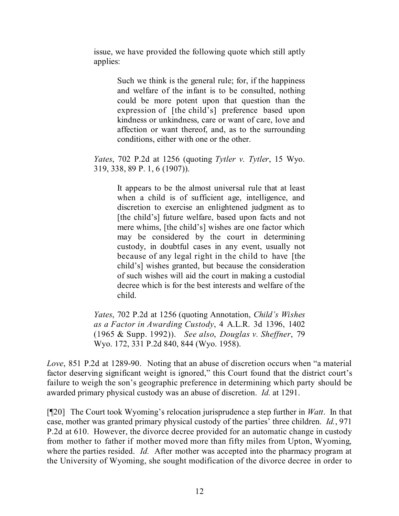issue, we have provided the following quote which still aptly applies:

> Such we think is the general rule; for, if the happiness and welfare of the infant is to be consulted, nothing could be more potent upon that question than the expression of [the child's] preference based upon kindness or unkindness, care or want of care, love and affection or want thereof, and, as to the surrounding conditions, either with one or the other.

*Yates*, 702 P.2d at 1256 (quoting *Tytler v. Tytler*, 15 Wyo. 319, 338, 89 P. 1, 6 (1907)).

> It appears to be the almost universal rule that at least when a child is of sufficient age, intelligence, and discretion to exercise an enlightened judgment as to [the child's] future welfare, based upon facts and not mere whims, [the child's] wishes are one factor which may be considered by the court in determining custody, in doubtful cases in any event, usually not because of any legal right in the child to have [the child's] wishes granted, but because the consideration of such wishes will aid the court in making a custodial decree which is for the best interests and welfare of the child.

*Yates*, 702 P.2d at 1256 (quoting Annotation, *Child's Wishes as a Factor in Awarding Custody*, 4 A.L.R. 3d 1396, 1402 (1965 & Supp. 1992)). *See also*, *Douglas v. Sheffner*, 79 Wyo. 172, 331 P.2d 840, 844 (Wyo. 1958).

*Love*, 851 P.2d at 1289-90. Noting that an abuse of discretion occurs when "a material factor deserving significant weight is ignored," this Court found that the district court's failure to weigh the son's geographic preference in determining which party should be awarded primary physical custody was an abuse of discretion. *Id.* at 1291.

[¶20] The Court took Wyoming's relocation jurisprudence a step further in *Watt*. In that case, mother was granted primary physical custody of the parties' three children. *Id.*, 971 P.2d at 610. However, the divorce decree provided for an automatic change in custody from mother to father if mother moved more than fifty miles from Upton, Wyoming, where the parties resided. *Id.* After mother was accepted into the pharmacy program at the University of Wyoming, she sought modification of the divorce decree in order to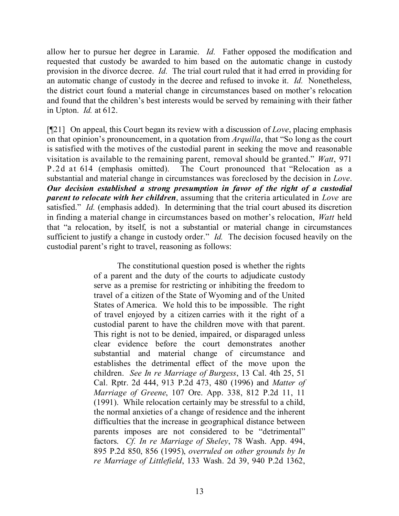allow her to pursue her degree in Laramie. *Id.* Father opposed the modification and requested that custody be awarded to him based on the automatic change in custody provision in the divorce decree. *Id.* The trial court ruled that it had erred in providing for an automatic change of custody in the decree and refused to invoke it. *Id.* Nonetheless, the district court found a material change in circumstances based on mother's relocation and found that the children's best interests would be served by remaining with their father in Upton. *Id.* at 612.

[¶21] On appeal, this Court began its review with a discussion of *Love*, placing emphasis on that opinion's pronouncement, in a quotation from *Arquilla*, that "So long as the court is satisfied with the motives of the custodial parent in seeking the move and reasonable visitation is available to the remaining parent, removal should be granted." *Watt*, 971 P.2d at 614 (emphasis omitted). The Court pronounced that "Relocation as a substantial and material change in circumstances was foreclosed by the decision in *Love*. *Our decision established a strong presumption in favor of the right of a custodial parent to relocate with her children*, assuming that the criteria articulated in *Love* are satisfied." *Id.* (emphasis added). In determining that the trial court abused its discretion in finding a material change in circumstances based on mother's relocation, *Watt* held that "a relocation, by itself, is not a substantial or material change in circumstances sufficient to justify a change in custody order." *Id.* The decision focused heavily on the custodial parent's right to travel, reasoning as follows:

> The constitutional question posed is whether the rights of a parent and the duty of the courts to adjudicate custody serve as a premise for restricting or inhibiting the freedom to travel of a citizen of the State of Wyoming and of the United States of America. We hold this to be impossible. The right of travel enjoyed by a citizen carries with it the right of a custodial parent to have the children move with that parent. This right is not to be denied, impaired, or disparaged unless clear evidence before the court demonstrates another substantial and material change of circumstance and establishes the detrimental effect of the move upon the children. *See In re Marriage of Burgess*, 13 Cal. 4th 25, 51 Cal. Rptr. 2d 444, 913 P.2d 473, 480 (1996) and *Matter of Marriage of Greene*, 107 Ore. App. 338, 812 P.2d 11, 11 (1991). While relocation certainly may be stressful to a child, the normal anxieties of a change of residence and the inherent difficulties that the increase in geographical distance between parents imposes are not considered to be "detrimental" factors. *Cf. In re Marriage of Sheley*, 78 Wash. App. 494, 895 P.2d 850, 856 (1995), *overruled on other grounds by In re Marriage of Littlefield*, 133 Wash. 2d 39, 940 P.2d 1362,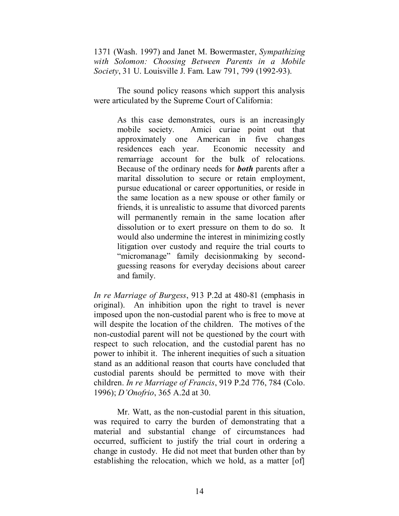1371 (Wash. 1997) and Janet M. Bowermaster, *Sympathizing with Solomon: Choosing Between Parents in a Mobile Society*, 31 U. Louisville J. Fam. Law 791, 799 (1992-93).

The sound policy reasons which support this analysis were articulated by the Supreme Court of California:

> As this case demonstrates, ours is an increasingly mobile society. Amici curiae point out that approximately one American in five changes residences each year. Economic necessity and remarriage account for the bulk of relocations. Because of the ordinary needs for *both* parents after a marital dissolution to secure or retain employment, pursue educational or career opportunities, or reside in the same location as a new spouse or other family or friends, it is unrealistic to assume that divorced parents will permanently remain in the same location after dissolution or to exert pressure on them to do so. It would also undermine the interest in minimizing costly litigation over custody and require the trial courts to "micromanage" family decisionmaking by secondguessing reasons for everyday decisions about career and family.

*In re Marriage of Burgess*, 913 P.2d at 480-81 (emphasis in original). An inhibition upon the right to travel is never imposed upon the non-custodial parent who is free to move at will despite the location of the children. The motives of the non-custodial parent will not be questioned by the court with respect to such relocation, and the custodial parent has no power to inhibit it. The inherent inequities of such a situation stand as an additional reason that courts have concluded that custodial parents should be permitted to move with their children. *In re Marriage of Francis*, 919 P.2d 776, 784 (Colo. 1996); *D'Onofrio*, 365 A.2d at 30.

Mr. Watt, as the non-custodial parent in this situation, was required to carry the burden of demonstrating that a material and substantial change of circumstances had occurred, sufficient to justify the trial court in ordering a change in custody. He did not meet that burden other than by establishing the relocation, which we hold, as a matter [of]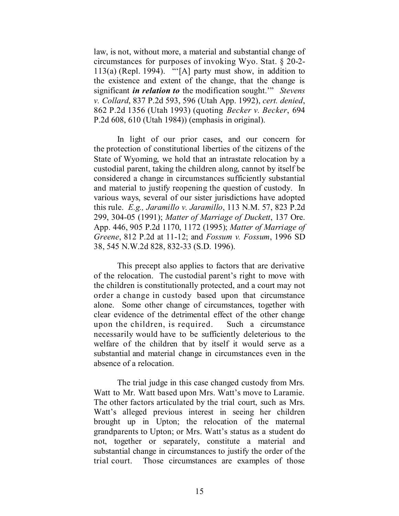law, is not, without more, a material and substantial change of circumstances for purposes of invoking Wyo. Stat. § 20-2-  $113(a)$  (Repl. 1994). "'[A] party must show, in addition to the existence and extent of the change, that the change is significant *in relation to* the modification sought.'" *Stevens v. Collard*, 837 P.2d 593, 596 (Utah App. 1992), *cert. denied*, 862 P.2d 1356 (Utah 1993) (quoting *Becker v. Becker*, 694 P.2d 608, 610 (Utah 1984)) (emphasis in original).

In light of our prior cases, and our concern for the protection of constitutional liberties of the citizens of the State of Wyoming, we hold that an intrastate relocation by a custodial parent, taking the children along, cannot by itself be considered a change in circumstances sufficiently substantial and material to justify reopening the question of custody. In various ways, several of our sister jurisdictions have adopted this rule. *E.g., Jaramillo v. Jaramillo*, 113 N.M. 57, 823 P.2d 299, 304-05 (1991); *Matter of Marriage of Duckett*, 137 Ore. App. 446, 905 P.2d 1170, 1172 (1995); *Matter of Marriage of Greene*, 812 P.2d at 11-12; and *Fossum v. Fossum*, 1996 SD 38, 545 N.W.2d 828, 832-33 (S.D. 1996).

This precept also applies to factors that are derivative of the relocation. The custodial parent's right to move with the children is constitutionally protected, and a court may not order a change in custody based upon that circumstance alone. Some other change of circumstances, together with clear evidence of the detrimental effect of the other change upon the children, is required. Such a circumstance necessarily would have to be sufficiently deleterious to the welfare of the children that by itself it would serve as a substantial and material change in circumstances even in the absence of a relocation.

The trial judge in this case changed custody from Mrs. Watt to Mr. Watt based upon Mrs. Watt's move to Laramie. The other factors articulated by the trial court, such as Mrs. Watt's alleged previous interest in seeing her children brought up in Upton; the relocation of the maternal grandparents to Upton; or Mrs. Watt's status as a student do not, together or separately, constitute a material and substantial change in circumstances to justify the order of the trial court. Those circumstances are examples of those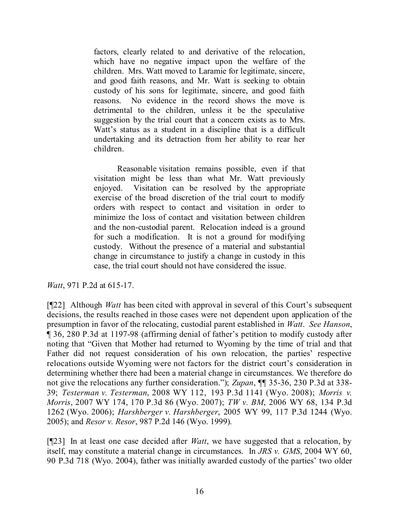factors, clearly related to and derivative of the relocation, which have no negative impact upon the welfare of the children. Mrs. Watt moved to Laramie for legitimate, sincere, and good faith reasons, and Mr. Watt is seeking to obtain custody of his sons for legitimate, sincere, and good faith reasons. No evidence in the record shows the move is detrimental to the children, unless it be the speculative suggestion by the trial court that a concern exists as to Mrs. Watt's status as a student in a discipline that is a difficult undertaking and its detraction from her ability to rear her children.

Reasonable visitation remains possible, even if that visitation might be less than what Mr. Watt previously enjoyed. Visitation can be resolved by the appropriate exercise of the broad discretion of the trial court to modify orders with respect to contact and visitation in order to minimize the loss of contact and visitation between children and the non-custodial parent. Relocation indeed is a ground for such a modification. It is not a ground for modifying custody. Without the presence of a material and substantial change in circumstance to justify a change in custody in this case, the trial court should not have considered the issue.

*Watt*, 971 P.2d at 615-17.

[¶22] Although *Watt* has been cited with approval in several of this Court's subsequent decisions, the results reached in those cases were not dependent upon application of the presumption in favor of the relocating, custodial parent established in *Watt*. *See Hanson*, ¶ 36, 280 P.3d at 1197-98 (affirming denial of father's petition to modify custody after noting that "Given that Mother had returned to Wyoming by the time of trial and that Father did not request consideration of his own relocation, the parties' respective relocations outside Wyoming were not factors for the district court's consideration in determining whether there had been a material change in circumstances. We therefore do not give the relocations any further consideration."); *Zupan*, ¶¶ 35-36, 230 P.3d at 338- 39; *Testerman v. Testerman*, 2008 WY 112, 193 P.3d 1141 (Wyo. 2008); *Morris v. Morris*, 2007 WY 174, 170 P.3d 86 (Wyo. 2007); *TW v. BM*, 2006 WY 68, 134 P.3d 1262 (Wyo. 2006); *Harshberger v. Harshberger*, 2005 WY 99, 117 P.3d 1244 (Wyo. 2005); and *Resor v. Resor*, 987 P.2d 146 (Wyo. 1999).

[¶23] In at least one case decided after *Watt*, we have suggested that a relocation, by itself, may constitute a material change in circumstances. In *JRS v. GMS*, 2004 WY 60, 90 P.3d 718 (Wyo. 2004), father was initially awarded custody of the parties' two older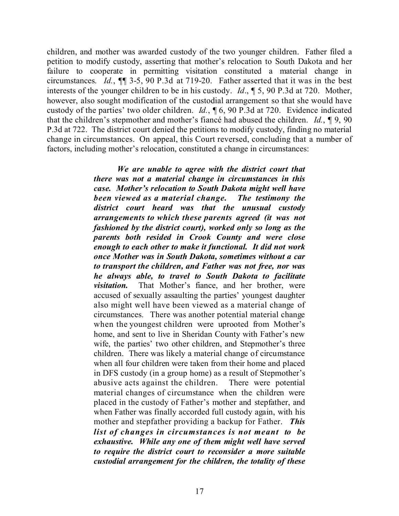children, and mother was awarded custody of the two younger children. Father filed a petition to modify custody, asserting that mother's relocation to South Dakota and her failure to cooperate in permitting visitation constituted a material change in circumstances. *Id.*, ¶¶ 3-5, 90 P.3d at 719-20. Father asserted that it was in the best interests of the younger children to be in his custody. *Id*., ¶ 5, 90 P.3d at 720. Mother, however, also sought modification of the custodial arrangement so that she would have custody of the parties' two older children. *Id.*, ¶ 6, 90 P.3d at 720. Evidence indicated that the children's stepmother and mother's fiancé had abused the children. *Id.*, ¶ 9, 90 P.3d at 722. The district court denied the petitions to modify custody, finding no material change in circumstances. On appeal, this Court reversed, concluding that a number of factors, including mother's relocation, constituted a change in circumstances:

> *We are unable to agree with the district court that there was not a material change in circumstances in this case. Mother's relocation to South Dakota might well have been viewed as a material change. The testimony the district court heard was that the unusual custody arrangements to which these parents agreed (it was not fashioned by the district court), worked only so long as the parents both resided in Crook County and were close enough to each other to make it functional. It did not work once Mother was in South Dakota, sometimes without a car to transport the children, and Father was not free, nor was he always able, to travel to South Dakota to facilitate visitation.* That Mother's fiance, and her brother, were accused of sexually assaulting the parties' youngest daughter also might well have been viewed as a material change of circumstances. There was another potential material change when the youngest children were uprooted from Mother's home, and sent to live in Sheridan County with Father's new wife, the parties' two other children, and Stepmother's three children. There was likely a material change of circumstance when all four children were taken from their home and placed in DFS custody (in a group home) as a result of Stepmother's abusive acts against the children. There were potential material changes of circumstance when the children were placed in the custody of Father's mother and stepfather, and when Father was finally accorded full custody again, with his mother and stepfather providing a backup for Father. *This list of changes in circumstances is not meant to be exhaustive. While any one of them might well have served to require the district court to reconsider a more suitable custodial arrangement for the children, the totality of these*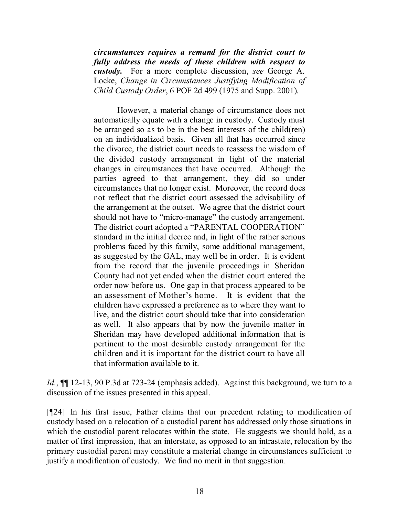*circumstances requires a remand for the district court to fully address the needs of these children with respect to custody.* For a more complete discussion, *see* George A. Locke, *Change in Circumstances Justifying Modification of Child Custody Order*, 6 POF 2d 499 (1975 and Supp. 2001).

However, a material change of circumstance does not automatically equate with a change in custody. Custody must be arranged so as to be in the best interests of the child(ren) on an individualized basis. Given all that has occurred since the divorce, the district court needs to reassess the wisdom of the divided custody arrangement in light of the material changes in circumstances that have occurred. Although the parties agreed to that arrangement, they did so under circumstances that no longer exist. Moreover, the record does not reflect that the district court assessed the advisability of the arrangement at the outset. We agree that the district court should not have to "micro-manage" the custody arrangement. The district court adopted a "PARENTAL COOPERATION" standard in the initial decree and, in light of the rather serious problems faced by this family, some additional management, as suggested by the GAL, may well be in order. It is evident from the record that the juvenile proceedings in Sheridan County had not yet ended when the district court entered the order now before us. One gap in that process appeared to be an assessment of Mother's home. It is evident that the children have expressed a preference as to where they want to live, and the district court should take that into consideration as well. It also appears that by now the juvenile matter in Sheridan may have developed additional information that is pertinent to the most desirable custody arrangement for the children and it is important for the district court to have all that information available to it.

*Id.*, **[11** 12-13, 90 P.3d at 723-24 (emphasis added). Against this background, we turn to a discussion of the issues presented in this appeal.

[¶24] In his first issue, Father claims that our precedent relating to modification of custody based on a relocation of a custodial parent has addressed only those situations in which the custodial parent relocates within the state. He suggests we should hold, as a matter of first impression, that an interstate, as opposed to an intrastate, relocation by the primary custodial parent may constitute a material change in circumstances sufficient to justify a modification of custody. We find no merit in that suggestion.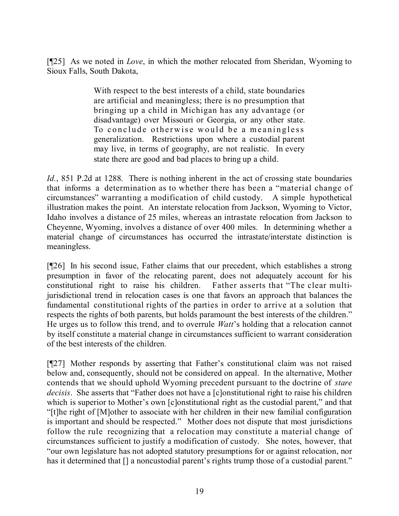[¶25] As we noted in *Love*, in which the mother relocated from Sheridan, Wyoming to Sioux Falls, South Dakota,

> With respect to the best interests of a child, state boundaries are artificial and meaningless; there is no presumption that bringing up a child in Michigan has any advantage (or disadvantage) over Missouri or Georgia, or any other state. To conclude otherwise would be a meaningless generalization. Restrictions upon where a custodial parent may live, in terms of geography, are not realistic. In every state there are good and bad places to bring up a child.

*Id.*, 851 P.2d at 1288. There is nothing inherent in the act of crossing state boundaries that informs a determination as to whether there has been a "material change of circumstances" warranting a modification of child custody. A simple hypothetical illustration makes the point. An interstate relocation from Jackson, Wyoming to Victor, Idaho involves a distance of 25 miles, whereas an intrastate relocation from Jackson to Cheyenne, Wyoming, involves a distance of over 400 miles. In determining whether a material change of circumstances has occurred the intrastate/interstate distinction is meaningless.

[¶26] In his second issue, Father claims that our precedent, which establishes a strong presumption in favor of the relocating parent, does not adequately account for his constitutional right to raise his children. Father asserts that "The clear multijurisdictional trend in relocation cases is one that favors an approach that balances the fundamental constitutional rights of the parties in order to arrive at a solution that respects the rights of both parents, but holds paramount the best interests of the children." He urges us to follow this trend, and to overrule *Watt*'s holding that a relocation cannot by itself constitute a material change in circumstances sufficient to warrant consideration of the best interests of the children.

[¶27] Mother responds by asserting that Father's constitutional claim was not raised below and, consequently, should not be considered on appeal. In the alternative, Mother contends that we should uphold Wyoming precedent pursuant to the doctrine of *stare decisis*. She asserts that "Father does not have a [c]onstitutional right to raise his children which is superior to Mother's own [c]onstitutional right as the custodial parent," and that "[t]he right of [M]other to associate with her children in their new familial configuration is important and should be respected." Mother does not dispute that most jurisdictions follow the rule recognizing that a relocation may constitute a material change of circumstances sufficient to justify a modification of custody. She notes, however, that "our own legislature has not adopted statutory presumptions for or against relocation, nor has it determined that  $\lceil \cdot \rceil$  a noncustodial parent's rights trump those of a custodial parent."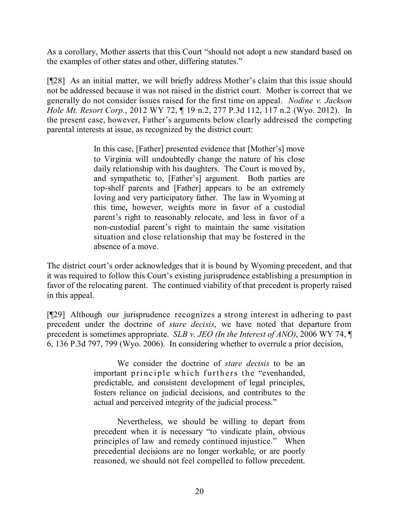As a corollary, Mother asserts that this Court "should not adopt a new standard based on the examples of other states and other, differing statutes."

[¶28] As an initial matter, we will briefly address Mother's claim that this issue should not be addressed because it was not raised in the district court. Mother is correct that we generally do not consider issues raised for the first time on appeal. *Nodine v. Jackson Hole Mt. Resort Corp.*, 2012 WY 72, ¶ 19 n.2, 277 P.3d 112, 117 n.2 (Wyo. 2012). In the present case, however, Father's arguments below clearly addressed the competing parental interests at issue, as recognized by the district court:

> In this case, [Father] presented evidence that [Mother's] move to Virginia will undoubtedly change the nature of his close daily relationship with his daughters. The Court is moved by, and sympathetic to, [Father's] argument. Both parties are top-shelf parents and [Father] appears to be an extremely loving and very participatory father. The law in Wyoming at this time, however, weights more in favor of a custodial parent's right to reasonably relocate, and less in favor of a non-custodial parent's right to maintain the same visitation situation and close relationship that may be fostered in the absence of a move.

The district court's order acknowledges that it is bound by Wyoming precedent, and that it was required to follow this Court's existing jurisprudence establishing a presumption in favor of the relocating parent. The continued viability of that precedent is properly raised in this appeal.

[¶29] Although our jurisprudence recognizes a strong interest in adhering to past precedent under the doctrine of *stare decisis*, we have noted that departure from precedent is sometimes appropriate. *SLB v. JEO (In the Interest of ANO)*, 2006 WY 74, ¶ 6, 136 P.3d 797, 799 (Wyo. 2006). In considering whether to overrule a prior decision,

> We consider the doctrine of *stare decisis* to be an important principle which furthers the "evenhanded, predictable, and consistent development of legal principles, fosters reliance on judicial decisions, and contributes to the actual and perceived integrity of the judicial process."

> Nevertheless, we should be willing to depart from precedent when it is necessary "to vindicate plain, obvious principles of law and remedy continued injustice." When precedential decisions are no longer workable, or are poorly reasoned, we should not feel compelled to follow precedent.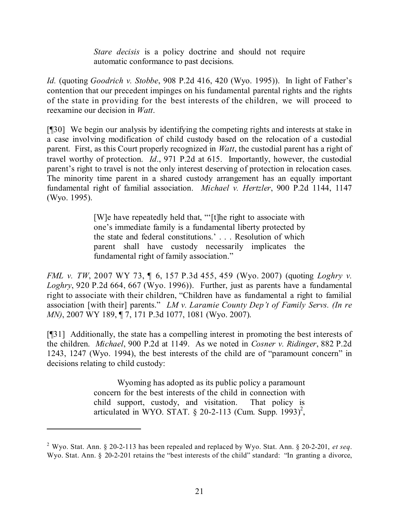*Stare decisis* is a policy doctrine and should not require automatic conformance to past decisions.

*Id.* (quoting *Goodrich v. Stobbe*, 908 P.2d 416, 420 (Wyo. 1995)). In light of Father's contention that our precedent impinges on his fundamental parental rights and the rights of the state in providing for the best interests of the children, we will proceed to reexamine our decision in *Watt*.

[¶30] We begin our analysis by identifying the competing rights and interests at stake in a case involving modification of child custody based on the relocation of a custodial parent. First, as this Court properly recognized in *Watt*, the custodial parent has a right of travel worthy of protection. *Id*., 971 P.2d at 615. Importantly, however, the custodial parent's right to travel is not the only interest deserving of protection in relocation cases. The minority time parent in a shared custody arrangement has an equally important fundamental right of familial association. *Michael v. Hertzler*, 900 P.2d 1144, 1147 (Wyo. 1995).

> [W]e have repeatedly held that, "'[t]he right to associate with one's immediate family is a fundamental liberty protected by the state and federal constitutions.' . . . Resolution of which parent shall have custody necessarily implicates the fundamental right of family association."

*FML v. TW*, 2007 WY 73, ¶ 6, 157 P.3d 455, 459 (Wyo. 2007) (quoting *Loghry v. Loghry*, 920 P.2d 664, 667 (Wyo. 1996)). Further, just as parents have a fundamental right to associate with their children, "Children have as fundamental a right to familial association [with their] parents." *LM v. Laramie County Dep't of Family Servs. (In re MN)*, 2007 WY 189, ¶ 7, 171 P.3d 1077, 1081 (Wyo. 2007).

[¶31] Additionally, the state has a compelling interest in promoting the best interests of the children. *Michael*, 900 P.2d at 1149. As we noted in *Cosner v. Ridinger*, 882 P.2d 1243, 1247 (Wyo. 1994), the best interests of the child are of "paramount concern" in decisions relating to child custody:

> Wyoming has adopted as its public policy a paramount concern for the best interests of the child in connection with child support, custody, and visitation. That policy is articulated in WYO. STAT.  $\S$  20-2-113 (Cum. Supp. 1993)<sup>2</sup>,

<sup>2</sup> Wyo. Stat. Ann. § 20-2-113 has been repealed and replaced by Wyo. Stat. Ann. § 20-2-201, *et seq*. Wyo. Stat. Ann. § 20-2-201 retains the "best interests of the child" standard: "In granting a divorce,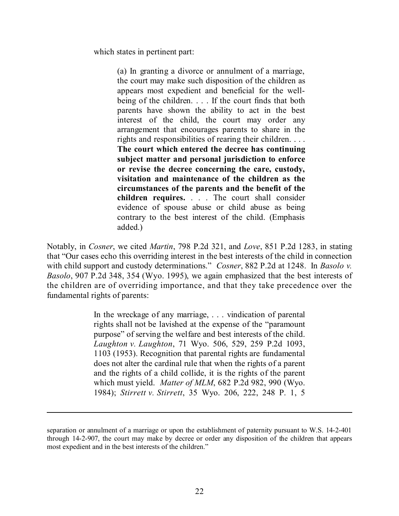which states in pertinent part:

(a) In granting a divorce or annulment of a marriage, the court may make such disposition of the children as appears most expedient and beneficial for the wellbeing of the children. . . . If the court finds that both parents have shown the ability to act in the best interest of the child, the court may order any arrangement that encourages parents to share in the rights and responsibilities of rearing their children. . . . **The court which entered the decree has continuing subject matter and personal jurisdiction to enforce or revise the decree concerning the care, custody, visitation and maintenance of the children as the circumstances of the parents and the benefit of the children requires.** . . . The court shall consider evidence of spouse abuse or child abuse as being contrary to the best interest of the child. (Emphasis added.)

Notably, in *Cosner*, we cited *Martin*, 798 P.2d 321, and *Love*, 851 P.2d 1283, in stating that "Our cases echo this overriding interest in the best interests of the child in connection with child support and custody determinations." *Cosner*, 882 P.2d at 1248. In *Basolo v. Basolo*, 907 P.2d 348, 354 (Wyo. 1995), we again emphasized that the best interests of the children are of overriding importance, and that they take precedence over the fundamental rights of parents:

> In the wreckage of any marriage, . . . vindication of parental rights shall not be lavished at the expense of the "paramount purpose" of serving the welfare and best interests of the child. *Laughton v. Laughton*, 71 Wyo. 506, 529, 259 P.2d 1093, 1103 (1953). Recognition that parental rights are fundamental does not alter the cardinal rule that when the rights of a parent and the rights of a child collide, it is the rights of the parent which must yield. *Matter of MLM*, 682 P.2d 982, 990 (Wyo. 1984); *Stirrett v. Stirrett*, 35 Wyo. 206, 222, 248 P. 1, 5

l

separation or annulment of a marriage or upon the establishment of paternity pursuant to W.S. 14-2-401 through 14-2-907, the court may make by decree or order any disposition of the children that appears most expedient and in the best interests of the children."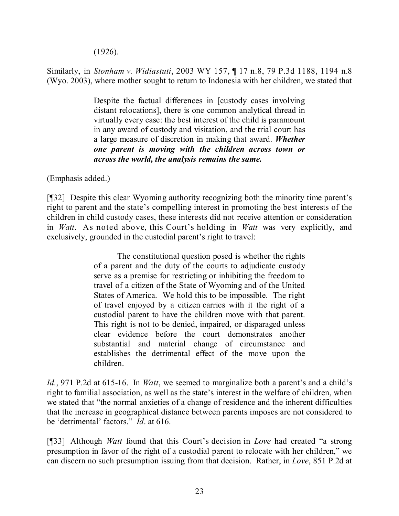(1926).

Similarly, in *Stonham v. Widiastuti*, 2003 WY 157, ¶ 17 n.8, 79 P.3d 1188, 1194 n.8 (Wyo. 2003), where mother sought to return to Indonesia with her children, we stated that

> Despite the factual differences in [custody cases involving distant relocations], there is one common analytical thread in virtually every case: the best interest of the child is paramount in any award of custody and visitation, and the trial court has a large measure of discretion in making that award. *Whether one parent is moving with the children across town or across the world, the analysis remains the same.*

(Emphasis added.)

[¶32] Despite this clear Wyoming authority recognizing both the minority time parent's right to parent and the state's compelling interest in promoting the best interests of the children in child custody cases, these interests did not receive attention or consideration in *Watt*. As noted above, this Court's holding in *Watt* was very explicitly, and exclusively, grounded in the custodial parent's right to travel:

> The constitutional question posed is whether the rights of a parent and the duty of the courts to adjudicate custody serve as a premise for restricting or inhibiting the freedom to travel of a citizen of the State of Wyoming and of the United States of America. We hold this to be impossible. The right of travel enjoyed by a citizen carries with it the right of a custodial parent to have the children move with that parent. This right is not to be denied, impaired, or disparaged unless clear evidence before the court demonstrates another substantial and material change of circumstance and establishes the detrimental effect of the move upon the children.

*Id.*, 971 P.2d at 615-16. In *Watt*, we seemed to marginalize both a parent's and a child's right to familial association, as well as the state's interest in the welfare of children, when we stated that "the normal anxieties of a change of residence and the inherent difficulties that the increase in geographical distance between parents imposes are not considered to be 'detrimental' factors." *Id*. at 616.

[¶33] Although *Watt* found that this Court's decision in *Love* had created "a strong presumption in favor of the right of a custodial parent to relocate with her children," we can discern no such presumption issuing from that decision. Rather, in *Love*, 851 P.2d at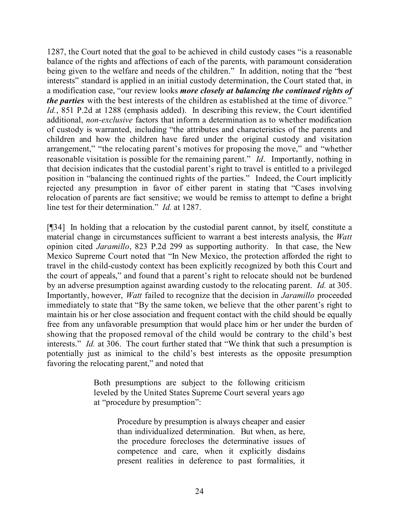1287, the Court noted that the goal to be achieved in child custody cases "is a reasonable balance of the rights and affections of each of the parents, with paramount consideration being given to the welfare and needs of the children." In addition, noting that the "best interests" standard is applied in an initial custody determination, the Court stated that, in a modification case, "our review looks *more closely at balancing the continued rights of the parties* with the best interests of the children as established at the time of divorce." *Id.*, 851 P.2d at 1288 (emphasis added). In describing this review, the Court identified additional, *non-exclusive* factors that inform a determination as to whether modification of custody is warranted, including "the attributes and characteristics of the parents and children and how the children have fared under the original custody and visitation arrangement," "the relocating parent's motives for proposing the move," and "whether reasonable visitation is possible for the remaining parent." *Id*. Importantly, nothing in that decision indicates that the custodial parent's right to travel is entitled to a privileged position in "balancing the continued rights of the parties." Indeed, the Court implicitly rejected any presumption in favor of either parent in stating that "Cases involving relocation of parents are fact sensitive; we would be remiss to attempt to define a bright line test for their determination." *Id.* at 1287.

[¶34] In holding that a relocation by the custodial parent cannot, by itself, constitute a material change in circumstances sufficient to warrant a best interests analysis, the *Watt* opinion cited *Jaramillo*, 823 P.2d 299 as supporting authority. In that case, the New Mexico Supreme Court noted that "In New Mexico, the protection afforded the right to travel in the child-custody context has been explicitly recognized by both this Court and the court of appeals," and found that a parent's right to relocate should not be burdened by an adverse presumption against awarding custody to the relocating parent. *Id.* at 305. Importantly, however, *Watt* failed to recognize that the decision in *Jaramillo* proceeded immediately to state that "By the same token, we believe that the other parent's right to maintain his or her close association and frequent contact with the child should be equally free from any unfavorable presumption that would place him or her under the burden of showing that the proposed removal of the child would be contrary to the child's best interests." *Id.* at 306. The court further stated that "We think that such a presumption is potentially just as inimical to the child's best interests as the opposite presumption favoring the relocating parent," and noted that

> Both presumptions are subject to the following criticism leveled by the United States Supreme Court several years ago at "procedure by presumption":

> > Procedure by presumption is always cheaper and easier than individualized determination. But when, as here, the procedure forecloses the determinative issues of competence and care, when it explicitly disdains present realities in deference to past formalities, it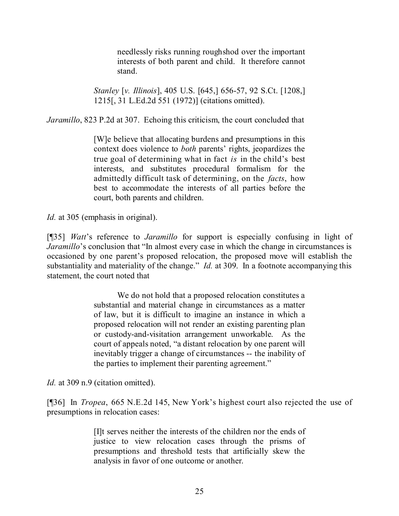needlessly risks running roughshod over the important interests of both parent and child. It therefore cannot stand.

*Stanley* [*v. Illinois*], 405 U.S. [645,] 656-57, 92 S.Ct. [1208,] 1215[, 31 L.Ed.2d 551 (1972)] (citations omitted).

*Jaramillo*, 823 P.2d at 307. Echoing this criticism, the court concluded that

[W]e believe that allocating burdens and presumptions in this context does violence to *both* parents' rights, jeopardizes the true goal of determining what in fact *is* in the child's best interests, and substitutes procedural formalism for the admittedly difficult task of determining, on the *facts*, how best to accommodate the interests of all parties before the court, both parents and children.

*Id.* at 305 (emphasis in original).

[¶35] *Watt*'s reference to *Jaramillo* for support is especially confusing in light of *Jaramillo*'s conclusion that "In almost every case in which the change in circumstances is occasioned by one parent's proposed relocation, the proposed move will establish the substantiality and materiality of the change." *Id.* at 309. In a footnote accompanying this statement, the court noted that

> We do not hold that a proposed relocation constitutes a substantial and material change in circumstances as a matter of law, but it is difficult to imagine an instance in which a proposed relocation will not render an existing parenting plan or custody-and-visitation arrangement unworkable. As the court of appeals noted, "a distant relocation by one parent will inevitably trigger a change of circumstances -- the inability of the parties to implement their parenting agreement."

*Id.* at 309 n.9 (citation omitted).

[¶36] In *Tropea*, 665 N.E.2d 145, New York's highest court also rejected the use of presumptions in relocation cases:

> [I]t serves neither the interests of the children nor the ends of justice to view relocation cases through the prisms of presumptions and threshold tests that artificially skew the analysis in favor of one outcome or another.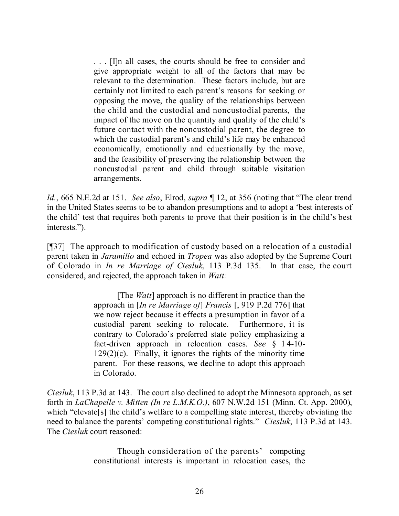. . . [I]n all cases, the courts should be free to consider and give appropriate weight to all of the factors that may be relevant to the determination. These factors include, but are certainly not limited to each parent's reasons for seeking or opposing the move, the quality of the relationships between the child and the custodial and noncustodial parents, the impact of the move on the quantity and quality of the child's future contact with the noncustodial parent, the degree to which the custodial parent's and child's life may be enhanced economically, emotionally and educationally by the move, and the feasibility of preserving the relationship between the noncustodial parent and child through suitable visitation arrangements.

*Id.*, 665 N.E.2d at 151. *See also*, Elrod, *supra* ¶ 12, at 356 (noting that "The clear trend in the United States seems to be to abandon presumptions and to adopt a 'best interests of the child' test that requires both parents to prove that their position is in the child's best interests.").

[¶37] The approach to modification of custody based on a relocation of a custodial parent taken in *Jaramillo* and echoed in *Tropea* was also adopted by the Supreme Court of Colorado in *In re Marriage of Ciesluk*, 113 P.3d 135. In that case, the court considered, and rejected, the approach taken in *Watt:*

> [The *Watt*] approach is no different in practice than the approach in [*In re Marriage of*] *Francis* [, 919 P.2d 776] that we now reject because it effects a presumption in favor of a custodial parent seeking to relocate. Furthermore, it is contrary to Colorado's preferred state policy emphasizing a fact-driven approach in relocation cases. *See* § 14-10-  $129(2)(c)$ . Finally, it ignores the rights of the minority time parent. For these reasons, we decline to adopt this approach in Colorado.

*Ciesluk*, 113 P.3d at 143. The court also declined to adopt the Minnesota approach, as set forth in *LaChapelle v. Mitten (In re L.M.K.O.)*, 607 N.W.2d 151 (Minn. Ct. App. 2000), which "elevate[s] the child's welfare to a compelling state interest, thereby obviating the need to balance the parents' competing constitutional rights." *Ciesluk*, 113 P.3d at 143. The *Ciesluk* court reasoned:

> Though consideration of the parents' competing constitutional interests is important in relocation cases, the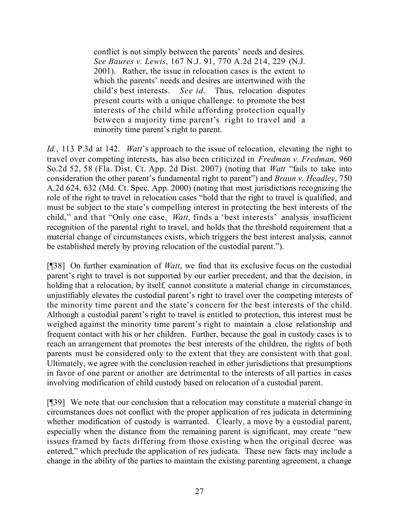conflict is not simply between the parents' needs and desires. *See Baures v. Lewis*, 167 N.J. 91, 770 A.2d 214, 229 (N.J. 2001). Rather, the issue in relocation cases is the extent to which the parents' needs and desires are intertwined with the child's best interests. *See id*. Thus, relocation disputes present courts with a unique challenge: to promote the best interests of the child while affording protection equally between a majority time parent's right to travel and a minority time parent's right to parent.

*Id.*, 113 P.3d at 142. *Watt*'s approach to the issue of relocation, elevating the right to travel over competing interests, has also been criticized in *Fredman v. Fredman*, 960 So.2d 52, 58 (Fla. Dist. Ct. App. 2d Dist. 2007) (noting that *Watt* "fails to take into consideration the other parent's fundamental right to parent") and *Braun v. Headley*, 750 A.2d 624, 632 (Md. Ct. Spec. App. 2000) (noting that most jurisdictions recognizing the role of the right to travel in relocation cases "hold that the right to travel is qualified, and must be subject to the state's compelling interest in protecting the best interests of the child," and that "Only one case, *Watt*, finds a 'best interests' analysis insufficient recognition of the parental right to travel, and holds that the threshold requirement that a material change of circumstances exists, which triggers the best interest analysis, cannot be established merely by proving relocation of the custodial parent.").

[¶38] On further examination of *Watt*, we find that its exclusive focus on the custodial parent's right to travel is not supported by our earlier precedent, and that the decision, in holding that a relocation, by itself, cannot constitute a material change in circumstances, unjustifiably elevates the custodial parent's right to travel over the competing interests of the minority time parent and the state's concern for the best interests of the child. Although a custodial parent's right to travel is entitled to protection, this interest must be weighed against the minority time parent's right to maintain a close relationship and frequent contact with his or her children. Further, because the goal in custody cases is to reach an arrangement that promotes the best interests of the children, the rights of both parents must be considered only to the extent that they are consistent with that goal. Ultimately, we agree with the conclusion reached in other jurisdictions that presumptions in favor of one parent or another are detrimental to the interests of all parties in cases involving modification of child custody based on relocation of a custodial parent.

[¶39] We note that our conclusion that a relocation may constitute a material change in circumstances does not conflict with the proper application of res judicata in determining whether modification of custody is warranted. Clearly, a move by a custodial parent, especially when the distance from the remaining parent is significant, may create "new issues framed by facts differing from those existing when the original decree was entered," which preclude the application of res judicata. These new facts may include a change in the ability of the parties to maintain the existing parenting agreement, a change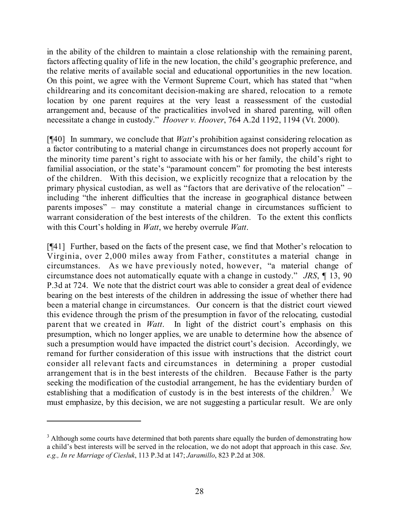in the ability of the children to maintain a close relationship with the remaining parent, factors affecting quality of life in the new location, the child's geographic preference, and the relative merits of available social and educational opportunities in the new location. On this point, we agree with the Vermont Supreme Court, which has stated that "when childrearing and its concomitant decision-making are shared, relocation to a remote location by one parent requires at the very least a reassessment of the custodial arrangement and, because of the practicalities involved in shared parenting, will often necessitate a change in custody." *Hoover v. Hoover*, 764 A.2d 1192, 1194 (Vt. 2000).

[¶40] In summary, we conclude that *Watt*'s prohibition against considering relocation as a factor contributing to a material change in circumstances does not properly account for the minority time parent's right to associate with his or her family, the child's right to familial association, or the state's "paramount concern" for promoting the best interests of the children. With this decision, we explicitly recognize that a relocation by the primary physical custodian, as well as "factors that are derivative of the relocation" – including "the inherent difficulties that the increase in geographical distance between parents imposes" – may constitute a material change in circumstances sufficient to warrant consideration of the best interests of the children. To the extent this conflicts with this Court's holding in *Watt*, we hereby overrule *Watt*.

[¶41] Further, based on the facts of the present case, we find that Mother's relocation to Virginia, over 2,000 miles away from Father, constitutes a material change in circumstances. As we have previously noted, however, "a material change of circumstance does not automatically equate with a change in custody." *JRS*, ¶ 13, 90 P.3d at 724. We note that the district court was able to consider a great deal of evidence bearing on the best interests of the children in addressing the issue of whether there had been a material change in circumstances. Our concern is that the district court viewed this evidence through the prism of the presumption in favor of the relocating, custodial parent that we created in *Watt*. In light of the district court's emphasis on this presumption, which no longer applies, we are unable to determine how the absence of such a presumption would have impacted the district court's decision. Accordingly, we remand for further consideration of this issue with instructions that the district court consider all relevant facts and circumstances in determining a proper custodial arrangement that is in the best interests of the children. Because Father is the party seeking the modification of the custodial arrangement, he has the evidentiary burden of establishing that a modification of custody is in the best interests of the children.<sup>3</sup> We must emphasize, by this decision, we are not suggesting a particular result. We are only

<sup>&</sup>lt;sup>3</sup> Although some courts have determined that both parents share equally the burden of demonstrating how a child's best interests will be served in the relocation, we do not adopt that approach in this case. *See, e.g., In re Marriage of Ciesluk*, 113 P.3d at 147; *Jaramillo*, 823 P.2d at 308.